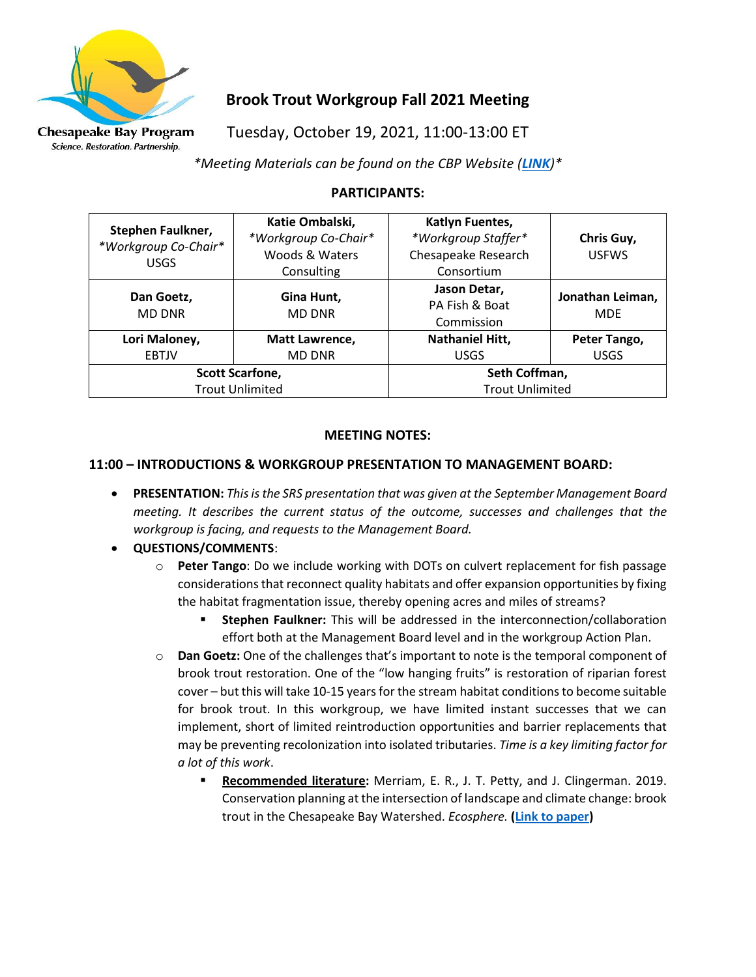

Science. Restoration. Partnership.

# **Brook Trout Workgroup Fall 2021 Meeting**

Tuesday, October 19, 2021, 11:00-13:00 ET

*\*Meeting Materials can be found on the CBP Website ([LINK](https://www.chesapeakebay.net/what/event/brook_trout_workgroup_fall_2021_meeting))\**

# **PARTICIPANTS:**

| <b>Stephen Faulkner,</b><br>*Workgroup Co-Chair*<br><b>USGS</b> | Katie Ombalski,<br>*Workgroup Co-Chair*<br>Woods & Waters<br>Consulting | Katlyn Fuentes,<br>*Workgroup Staffer*<br>Chesapeake Research<br>Consortium | Chris Guy,<br><b>USFWS</b>     |
|-----------------------------------------------------------------|-------------------------------------------------------------------------|-----------------------------------------------------------------------------|--------------------------------|
| Dan Goetz,<br><b>MD DNR</b>                                     | Gina Hunt,<br><b>MD DNR</b>                                             | Jason Detar,<br>PA Fish & Boat<br>Commission                                | Jonathan Leiman,<br><b>MDE</b> |
| Lori Maloney,                                                   | Matt Lawrence,                                                          | <b>Nathaniel Hitt,</b>                                                      | Peter Tango,                   |
| <b>EBTJV</b>                                                    | <b>MD DNR</b>                                                           | <b>USGS</b>                                                                 | <b>USGS</b>                    |
| <b>Scott Scarfone,</b>                                          |                                                                         | Seth Coffman,                                                               |                                |
| <b>Trout Unlimited</b>                                          |                                                                         | <b>Trout Unlimited</b>                                                      |                                |

### **MEETING NOTES:**

## **11:00 – INTRODUCTIONS & WORKGROUP PRESENTATION TO MANAGEMENT BOARD:**

- **PRESENTATION:** *This is the SRS presentation that was given at the September Management Board meeting. It describes the current status of the outcome, successes and challenges that the workgroup is facing, and requests to the Management Board.*
- **QUESTIONS/COMMENTS**:
	- o **Peter Tango**: Do we include working with DOTs on culvert replacement for fish passage considerations that reconnect quality habitats and offer expansion opportunities by fixing the habitat fragmentation issue, thereby opening acres and miles of streams?
		- **Stephen Faulkner:** This will be addressed in the interconnection/collaboration effort both at the Management Board level and in the workgroup Action Plan.
	- o **Dan Goetz:** One of the challenges that's important to note is the temporal component of brook trout restoration. One of the "low hanging fruits" is restoration of riparian forest cover – but this will take 10-15 years for the stream habitat conditions to become suitable for brook trout. In this workgroup, we have limited instant successes that we can implement, short of limited reintroduction opportunities and barrier replacements that may be preventing recolonization into isolated tributaries. *Time is a key limiting factor for a lot of this work*.
		- Recommended literature: Merriam, E. R., J. T. Petty, and J. Clingerman. 2019. Conservation planning at the intersection of landscape and climate change: brook trout in the Chesapeake Bay Watershed. *Ecosphere.* **[\(Link to paper\)](https://esajournals.onlinelibrary.wiley.com/doi/10.1002/ecs2.2585)**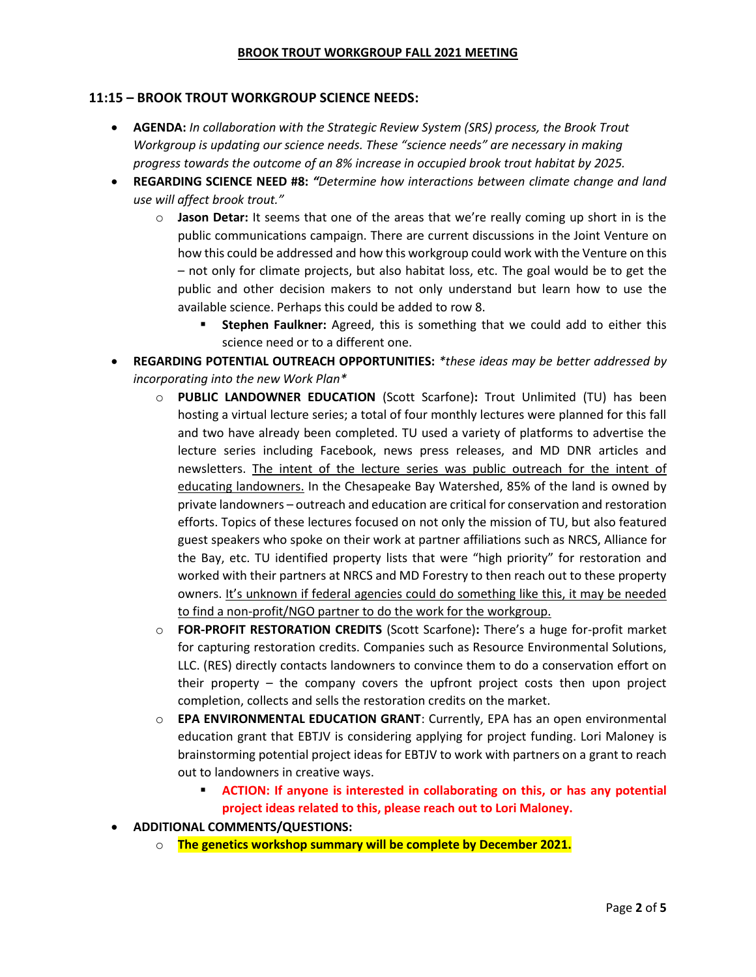#### **BROOK TROUT WORKGROUP FALL 2021 MEETING**

### **11:15 – BROOK TROUT WORKGROUP SCIENCE NEEDS:**

- **AGENDA:** *In collaboration with the Strategic Review System (SRS) process, the Brook Trout Workgroup is updating our science needs. These "science needs" are necessary in making progress towards the outcome of an 8% increase in occupied brook trout habitat by 2025.*
- **REGARDING SCIENCE NEED #8:** *"Determine how interactions between climate change and land use will affect brook trout."*
	- o **Jason Detar:** It seems that one of the areas that we're really coming up short in is the public communications campaign. There are current discussions in the Joint Venture on how this could be addressed and how this workgroup could work with the Venture on this – not only for climate projects, but also habitat loss, etc. The goal would be to get the public and other decision makers to not only understand but learn how to use the available science. Perhaps this could be added to row 8.
		- **Stephen Faulkner:** Agreed, this is something that we could add to either this science need or to a different one.
- **REGARDING POTENTIAL OUTREACH OPPORTUNITIES:** *\*these ideas may be better addressed by incorporating into the new Work Plan\**
	- o **PUBLIC LANDOWNER EDUCATION** (Scott Scarfone)**:** Trout Unlimited (TU) has been hosting a virtual lecture series; a total of four monthly lectures were planned for this fall and two have already been completed. TU used a variety of platforms to advertise the lecture series including Facebook, news press releases, and MD DNR articles and newsletters. The intent of the lecture series was public outreach for the intent of educating landowners. In the Chesapeake Bay Watershed, 85% of the land is owned by private landowners – outreach and education are critical for conservation and restoration efforts. Topics of these lectures focused on not only the mission of TU, but also featured guest speakers who spoke on their work at partner affiliations such as NRCS, Alliance for the Bay, etc. TU identified property lists that were "high priority" for restoration and worked with their partners at NRCS and MD Forestry to then reach out to these property owners. It's unknown if federal agencies could do something like this, it may be needed to find a non-profit/NGO partner to do the work for the workgroup.
	- o **FOR-PROFIT RESTORATION CREDITS** (Scott Scarfone)**:** There's a huge for-profit market for capturing restoration credits. Companies such as Resource Environmental Solutions, LLC. (RES) directly contacts landowners to convince them to do a conservation effort on their property – the company covers the upfront project costs then upon project completion, collects and sells the restoration credits on the market.
	- o **EPA ENVIRONMENTAL EDUCATION GRANT**: Currently, EPA has an open environmental education grant that EBTJV is considering applying for project funding. Lori Maloney is brainstorming potential project ideas for EBTJV to work with partners on a grant to reach out to landowners in creative ways.
		- **ACTION: If anyone is interested in collaborating on this, or has any potential project ideas related to this, please reach out to Lori Maloney.**
- **ADDITIONAL COMMENTS/QUESTIONS:**
	- o **The genetics workshop summary will be complete by December 2021.**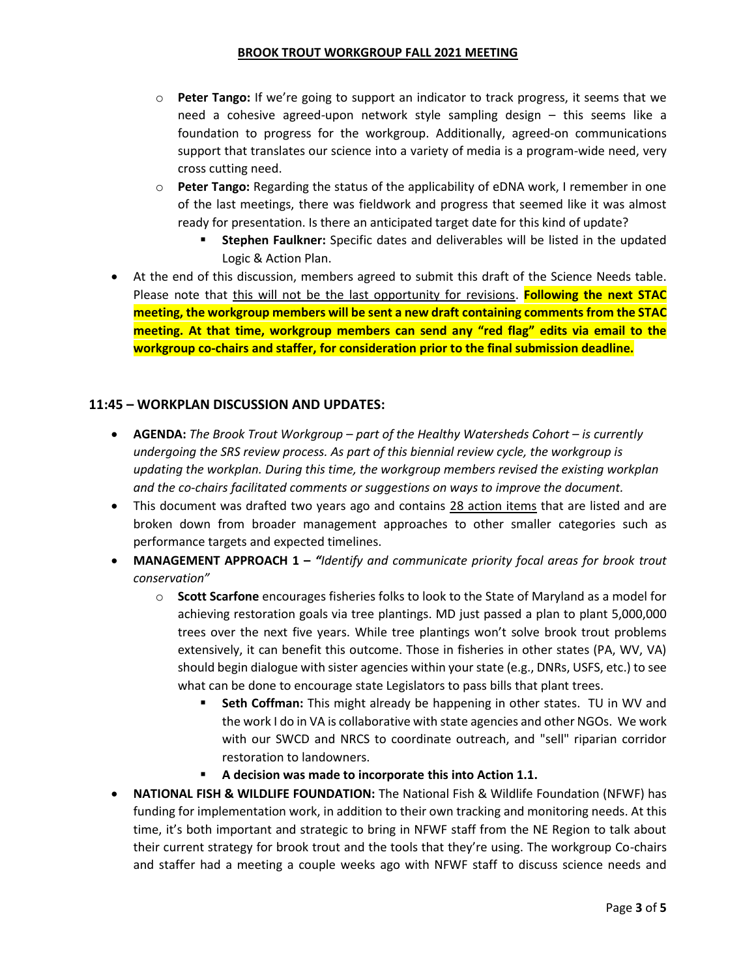- o **Peter Tango:** If we're going to support an indicator to track progress, it seems that we need a cohesive agreed-upon network style sampling design – this seems like a foundation to progress for the workgroup. Additionally, agreed-on communications support that translates our science into a variety of media is a program-wide need, very cross cutting need.
- o **Peter Tango:** Regarding the status of the applicability of eDNA work, I remember in one of the last meetings, there was fieldwork and progress that seemed like it was almost ready for presentation. Is there an anticipated target date for this kind of update?
	- **Stephen Faulkner:** Specific dates and deliverables will be listed in the updated Logic & Action Plan.
- At the end of this discussion, members agreed to submit this draft of the Science Needs table. Please note that this will not be the last opportunity for revisions. **Following the next STAC meeting, the workgroup members will be sent a new draft containing comments from the STAC meeting. At that time, workgroup members can send any "red flag" edits via email to the workgroup co-chairs and staffer, for consideration prior to the final submission deadline.**

## **11:45 – WORKPLAN DISCUSSION AND UPDATES:**

- **AGENDA:** The Brook Trout Workgroup part of the Healthy Watersheds Cohort is currently *undergoing the SRS review process. As part of this biennial review cycle, the workgroup is updating the workplan. During this time, the workgroup members revised the existing workplan and the co-chairs facilitated comments or suggestions on ways to improve the document.*
- This document was drafted two years ago and contains 28 action items that are listed and are broken down from broader management approaches to other smaller categories such as performance targets and expected timelines.
- **MANAGEMENT APPROACH 1 –** *"Identify and communicate priority focal areas for brook trout conservation"*
	- o **Scott Scarfone** encourages fisheries folks to look to the State of Maryland as a model for achieving restoration goals via tree plantings. MD just passed a plan to plant 5,000,000 trees over the next five years. While tree plantings won't solve brook trout problems extensively, it can benefit this outcome. Those in fisheries in other states (PA, WV, VA) should begin dialogue with sister agencies within your state (e.g., DNRs, USFS, etc.) to see what can be done to encourage state Legislators to pass bills that plant trees.
		- **Seth Coffman:** This might already be happening in other states. TU in WV and the work I do in VA is collaborative with state agencies and other NGOs. We work with our SWCD and NRCS to coordinate outreach, and "sell" riparian corridor restoration to landowners.
		- **A decision was made to incorporate this into Action 1.1.**
- **NATIONAL FISH & WILDLIFE FOUNDATION:** The National Fish & Wildlife Foundation (NFWF) has funding for implementation work, in addition to their own tracking and monitoring needs. At this time, it's both important and strategic to bring in NFWF staff from the NE Region to talk about their current strategy for brook trout and the tools that they're using. The workgroup Co-chairs and staffer had a meeting a couple weeks ago with NFWF staff to discuss science needs and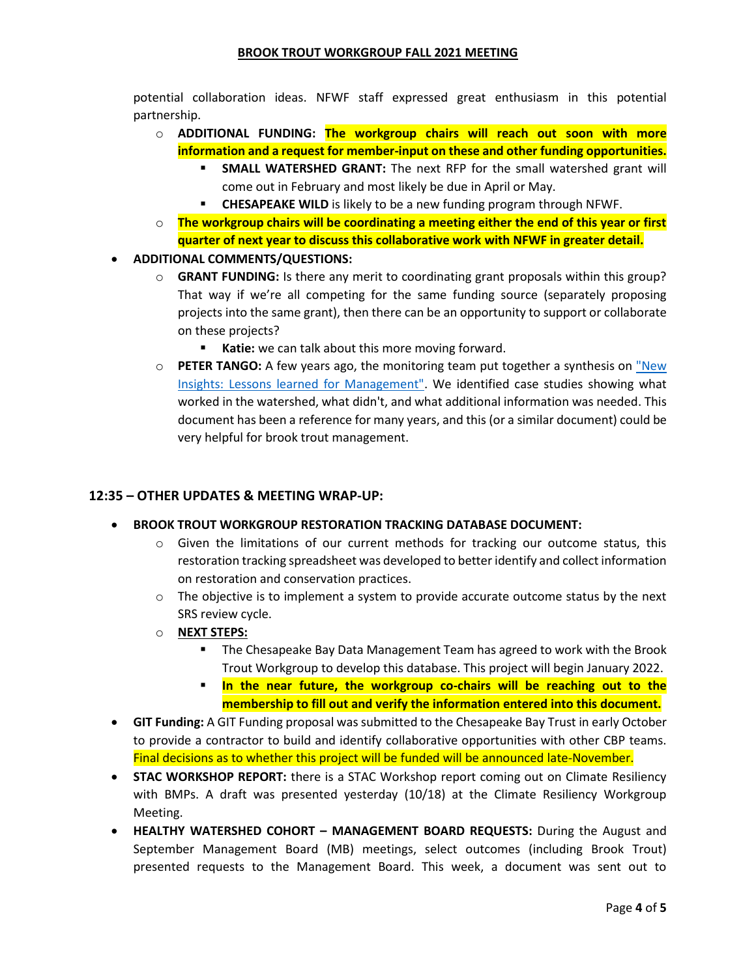potential collaboration ideas. NFWF staff expressed great enthusiasm in this potential partnership.

- o **ADDITIONAL FUNDING: The workgroup chairs will reach out soon with more information and a request for member-input on these and other funding opportunities.**
	- **SMALL WATERSHED GRANT:** The next RFP for the small watershed grant will come out in February and most likely be due in April or May.
	- **CHESAPEAKE WILD** is likely to be a new funding program through NFWF.
- o **The workgroup chairs will be coordinating a meeting either the end of this year or first quarter of next year to discuss this collaborative work with NFWF in greater detail.**
- **ADDITIONAL COMMENTS/QUESTIONS:**
	- o **GRANT FUNDING:** Is there any merit to coordinating grant proposals within this group? That way if we're all competing for the same funding source (separately proposing projects into the same grant), then there can be an opportunity to support or collaborate on these projects?
		- **Katie:** we can talk about this more moving forward.
	- o **PETER TANGO:** A few years ago, the monitoring team put together a synthesis on ["New](https://ian.umces.edu/blog/new-insights-report-converting-geeky-science-into-understandable-stories/)  [Insights: Lessons learned for Management".](https://ian.umces.edu/blog/new-insights-report-converting-geeky-science-into-understandable-stories/) We identified case studies showing what worked in the watershed, what didn't, and what additional information was needed. This document has been a reference for many years, and this (or a similar document) could be very helpful for brook trout management.

### **12:35 – OTHER UPDATES & MEETING WRAP-UP:**

#### • **BROOK TROUT WORKGROUP RESTORATION TRACKING DATABASE DOCUMENT:**

- $\circ$  Given the limitations of our current methods for tracking our outcome status, this restoration tracking spreadsheet was developed to better identify and collect information on restoration and conservation practices.
- $\circ$  The objective is to implement a system to provide accurate outcome status by the next SRS review cycle.
- o **NEXT STEPS:** 
	- The Chesapeake Bay Data Management Team has agreed to work with the Brook Trout Workgroup to develop this database. This project will begin January 2022.
	- **In the near future, the workgroup co-chairs will be reaching out to the membership to fill out and verify the information entered into this document.**
- **GIT Funding:** A GIT Funding proposal was submitted to the Chesapeake Bay Trust in early October to provide a contractor to build and identify collaborative opportunities with other CBP teams. Final decisions as to whether this project will be funded will be announced late-November.
- **STAC WORKSHOP REPORT:** there is a STAC Workshop report coming out on Climate Resiliency with BMPs. A draft was presented yesterday (10/18) at the Climate Resiliency Workgroup Meeting.
- **HEALTHY WATERSHED COHORT – MANAGEMENT BOARD REQUESTS:** During the August and September Management Board (MB) meetings, select outcomes (including Brook Trout) presented requests to the Management Board. This week, a document was sent out to